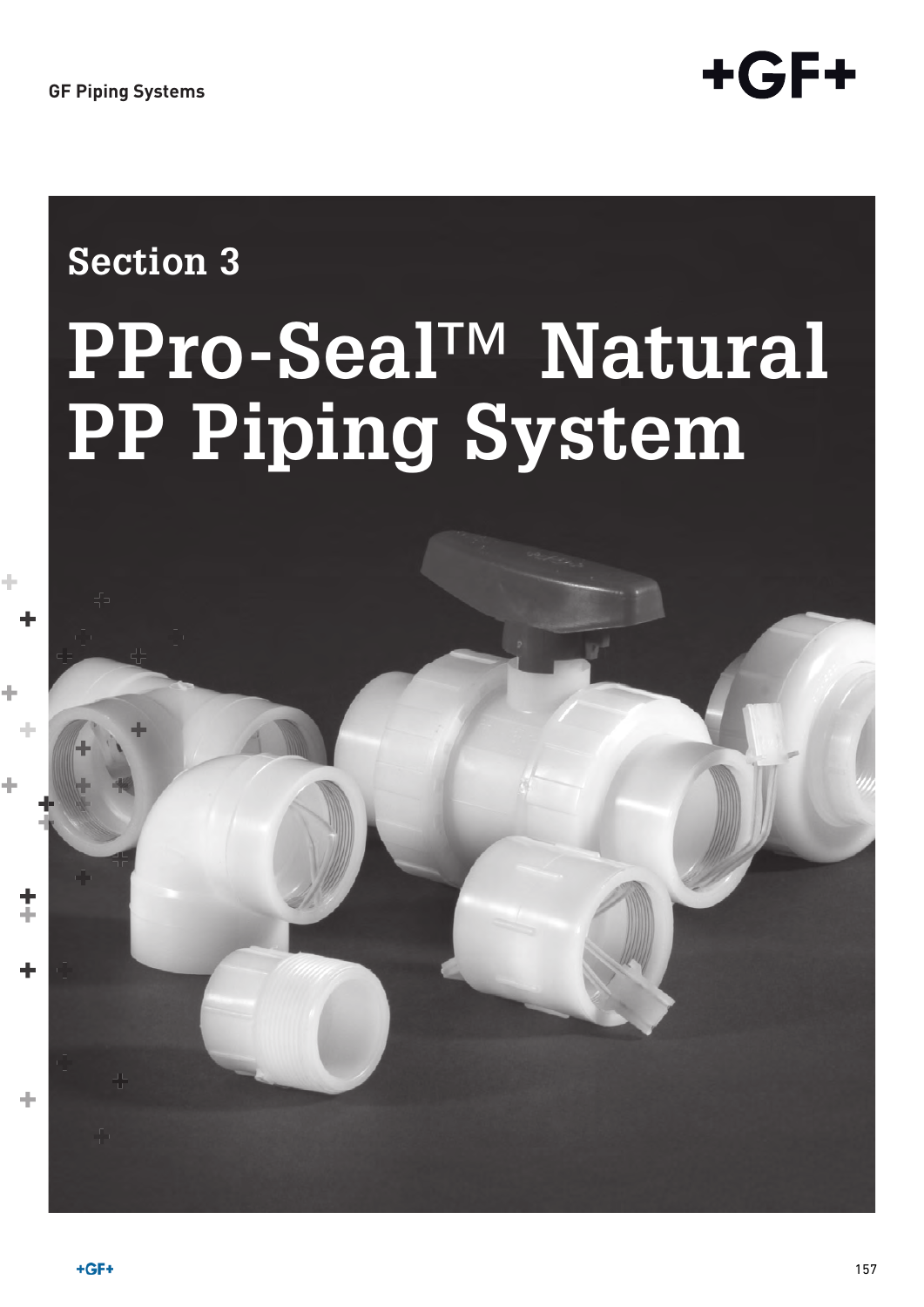

# **Section 3**

# **PPro-Seal™ Natural PP Piping System**

45

 $\ddagger$ 

÷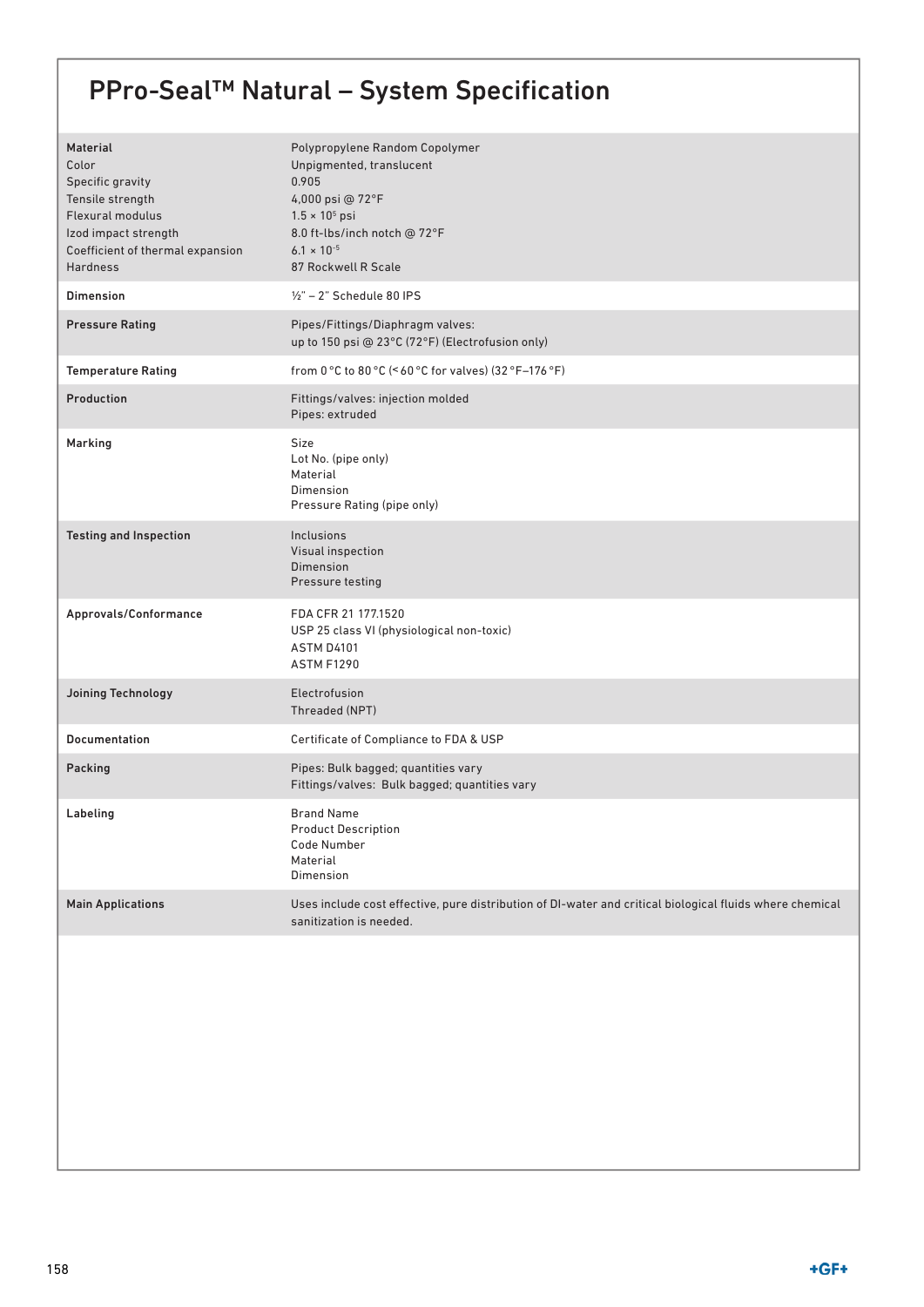# PPro-Seal™ Natural – System Specification

| <b>Material</b><br>Color<br>Specific gravity<br>Tensile strength<br><b>Flexural modulus</b><br>Izod impact strength<br>Coefficient of thermal expansion<br><b>Hardness</b> | Polypropylene Random Copolymer<br>Unpigmented, translucent<br>0.905<br>4,000 psi @ 72°F<br>$1.5 \times 10^5$ psi<br>8.0 ft-lbs/inch notch @ 72°F<br>$6.1 \times 10^{-5}$<br>87 Rockwell R Scale |
|----------------------------------------------------------------------------------------------------------------------------------------------------------------------------|-------------------------------------------------------------------------------------------------------------------------------------------------------------------------------------------------|
| <b>Dimension</b>                                                                                                                                                           | $1/2"$ – 2" Schedule 80 IPS                                                                                                                                                                     |
| <b>Pressure Rating</b>                                                                                                                                                     | Pipes/Fittings/Diaphragm valves:<br>up to 150 psi @ 23°C (72°F) (Electrofusion only)                                                                                                            |
| <b>Temperature Rating</b>                                                                                                                                                  | from $0^{\circ}$ C to $80^{\circ}$ C (< 60 °C for valves) (32 °F-176 °F)                                                                                                                        |
| Production                                                                                                                                                                 | Fittings/valves: injection molded<br>Pipes: extruded                                                                                                                                            |
| Marking                                                                                                                                                                    | <b>Size</b><br>Lot No. (pipe only)<br>Material<br>Dimension<br>Pressure Rating (pipe only)                                                                                                      |
| <b>Testing and Inspection</b>                                                                                                                                              | Inclusions<br>Visual inspection<br>Dimension<br>Pressure testing                                                                                                                                |
| Approvals/Conformance                                                                                                                                                      | FDA CFR 21 177.1520<br>USP 25 class VI (physiological non-toxic)<br><b>ASTM D4101</b><br><b>ASTM F1290</b>                                                                                      |
| Joining Technology                                                                                                                                                         | Electrofusion<br>Threaded (NPT)                                                                                                                                                                 |
| Documentation                                                                                                                                                              | Certificate of Compliance to FDA & USP                                                                                                                                                          |
| Packing                                                                                                                                                                    | Pipes: Bulk bagged; quantities vary<br>Fittings/valves: Bulk bagged; quantities vary                                                                                                            |
| Labeling                                                                                                                                                                   | <b>Brand Name</b><br><b>Product Description</b><br>Code Number<br>Material<br>Dimension                                                                                                         |
| <b>Main Applications</b>                                                                                                                                                   | Uses include cost effective, pure distribution of DI-water and critical biological fluids where chemical<br>sanitization is needed.                                                             |
|                                                                                                                                                                            |                                                                                                                                                                                                 |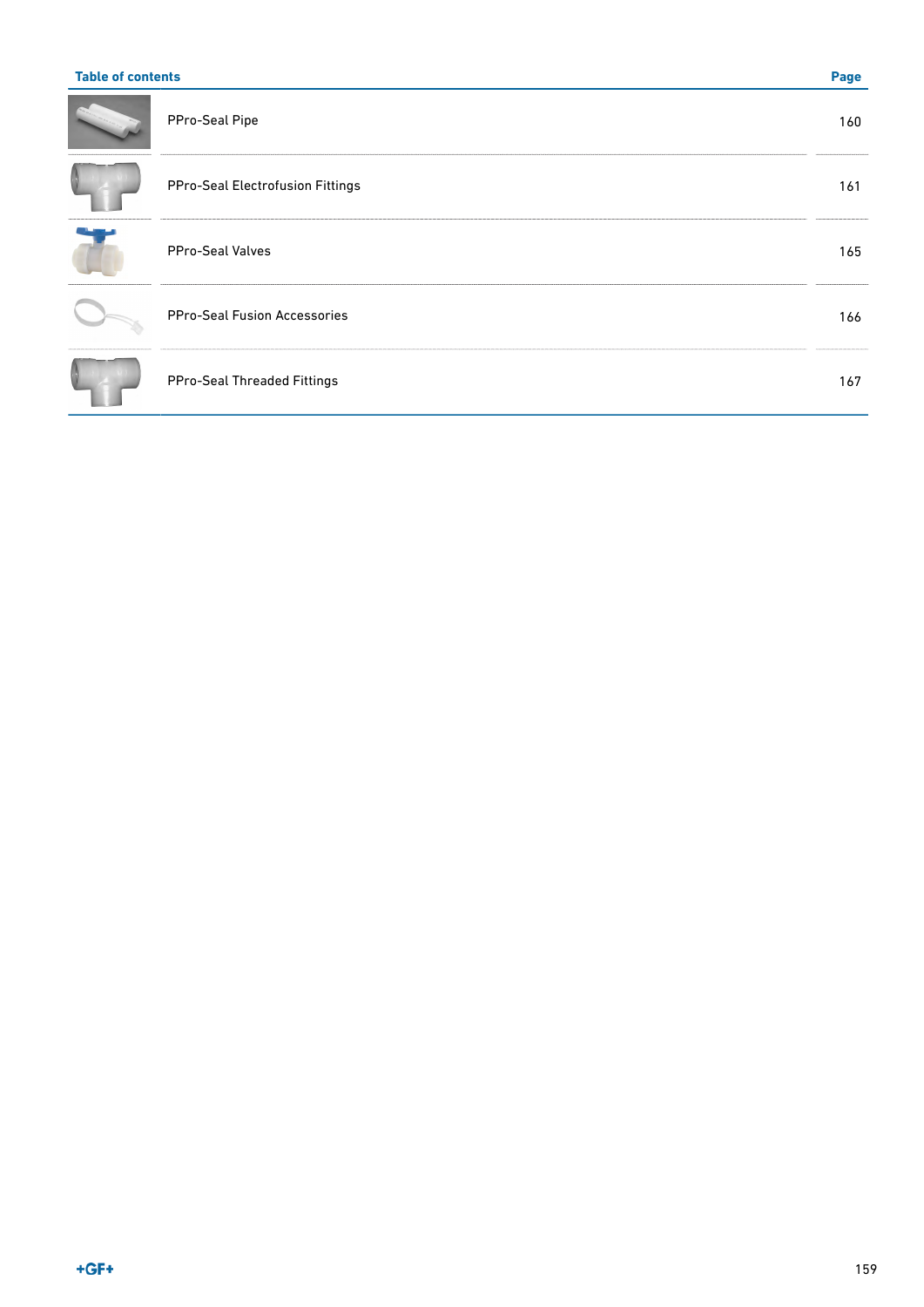| <b>Table of contents</b>            |     |  |  |
|-------------------------------------|-----|--|--|
| PPro-Seal Pipe                      | 160 |  |  |
| PPro-Seal Electrofusion Fittings    | 161 |  |  |
| <b>PPro-Seal Valves</b>             | 165 |  |  |
| <b>PPro-Seal Fusion Accessories</b> | 166 |  |  |
| PPro-Seal Threaded Fittings         | 167 |  |  |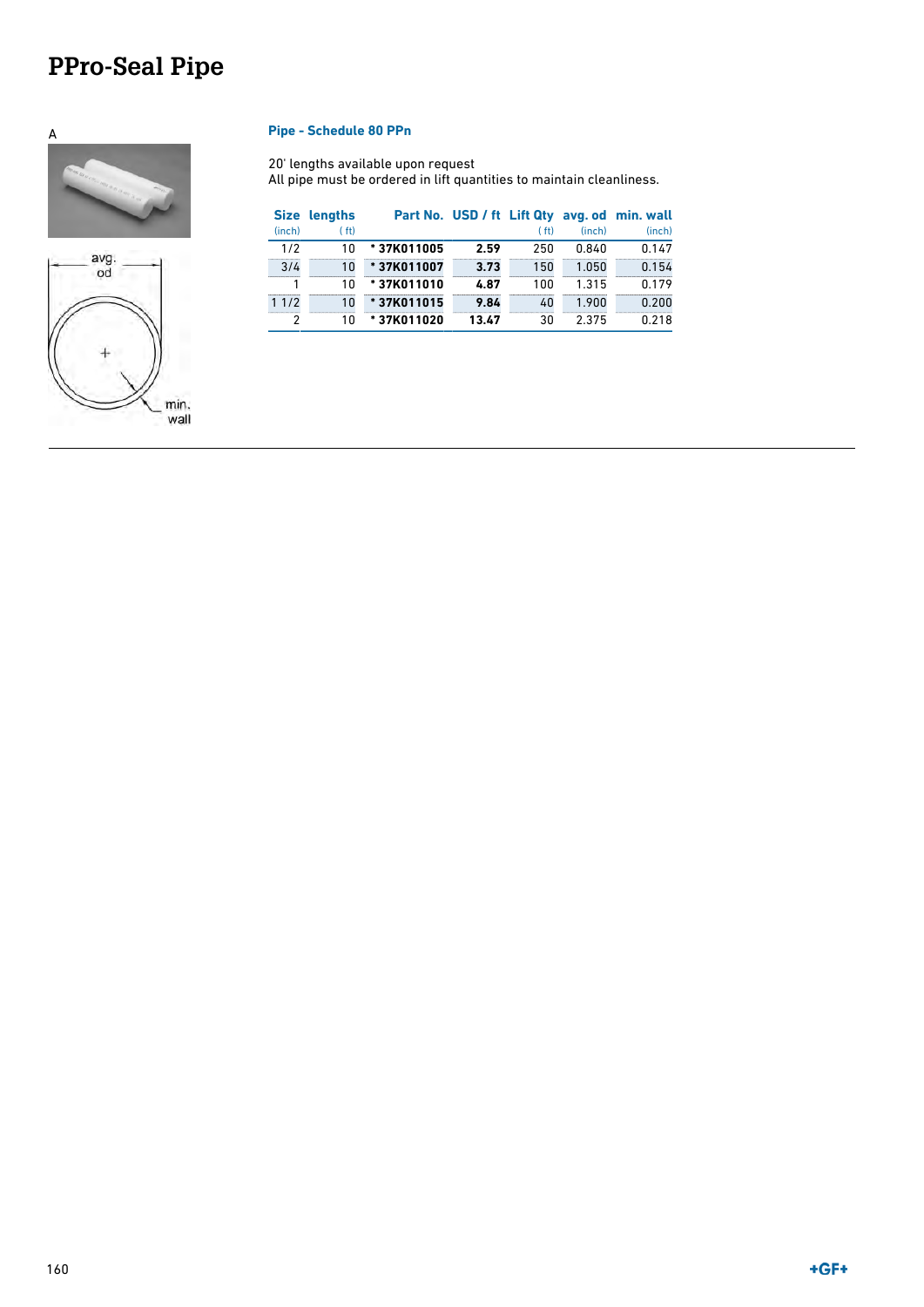# <span id="page-3-0"></span>**PPro-Seal Pipe**





### A **Pipe - Schedule 80 PPn**

20' lengths available upon request All pipe must be ordered in lift quantities to maintain cleanliness.

| <b>Size</b> | lengths            |            |       |                    |        | Part No. USD / ft Lift Qty avg. od min. wall |
|-------------|--------------------|------------|-------|--------------------|--------|----------------------------------------------|
| (inch)      | (f <sub>tt</sub> ) |            |       | (f <sub>th</sub> ) | (inch) | (inch)                                       |
| 1/2         | 10                 | *37K011005 | 2.59  | 250                | 0.840  | 0.147                                        |
| 3/4         | 10                 | *37K011007 | 3.73  | 150                | 1.050  | 0.154                                        |
|             | 10                 | *37K011010 | 4.87  | 100                | 1.315  | 0.179                                        |
| 11/2        | 10                 | *37K011015 | 9.84  | 40                 | 1.900  | 0.200                                        |
| 2           | 10                 | *37K011020 | 13.47 | 30                 | 2.375  | 0.218                                        |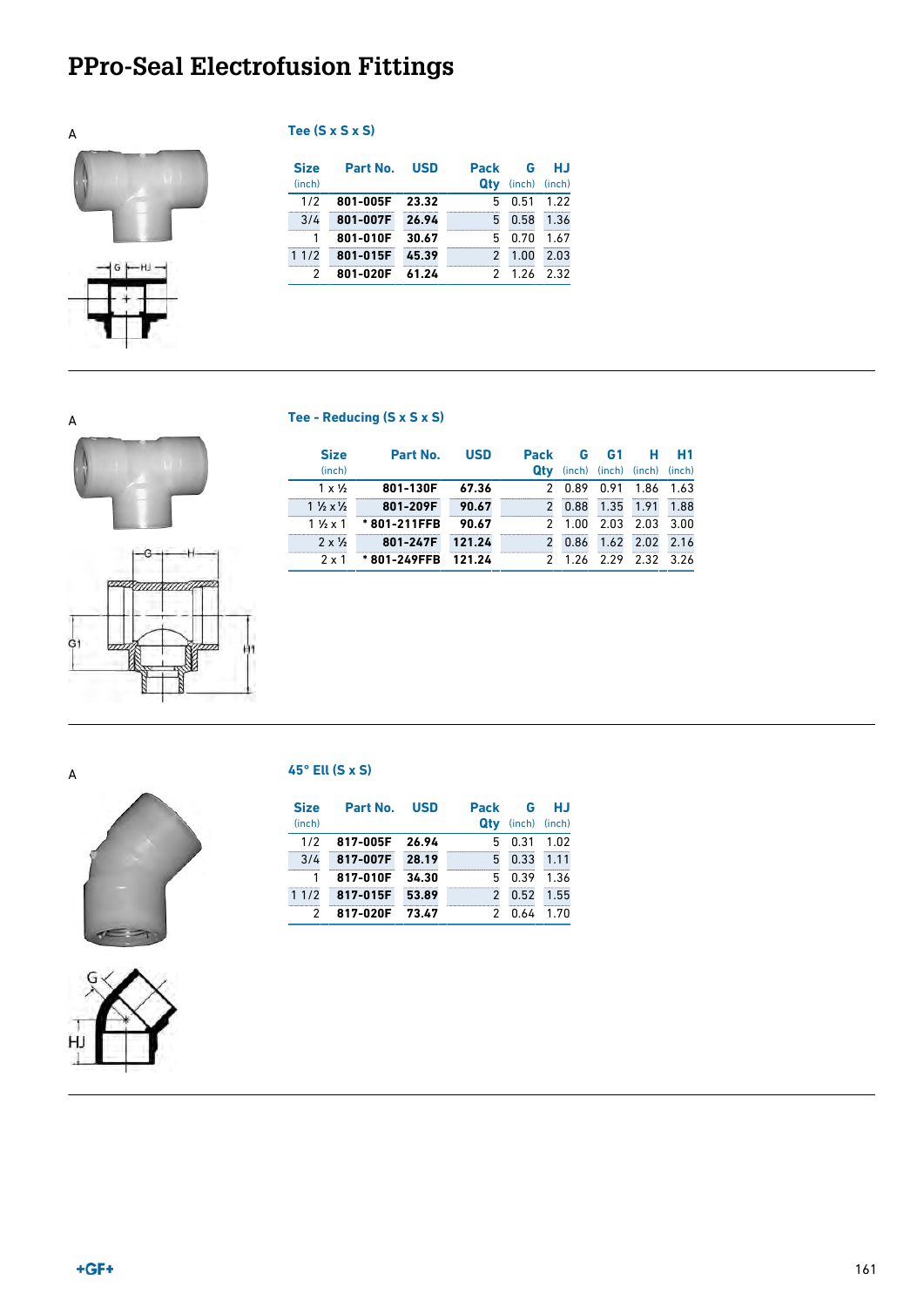# <span id="page-4-0"></span>**PPro-Seal Electrofusion Fittings**



| Tee (S x S x S) |  |  |  |  |  |  |
|-----------------|--|--|--|--|--|--|
|-----------------|--|--|--|--|--|--|

| <b>Size</b> | Part No. | <b>USD</b> | <b>Pack</b>   | G             | HJ   |
|-------------|----------|------------|---------------|---------------|------|
| (inch)      |          |            | Qtv           | (inch) (inch) |      |
| 1/2         | 801-005F | 23.32      | 5             | 0.51          | 1.22 |
| 3/4         | 801-007F | 26.94      | 5             | 0.58          | 1.36 |
|             | 801-010F | 30.67      | 5             | 0.70          | 1.67 |
| 11/2        | 801-015F | 45.39      | $\mathcal{P}$ | 1.00          | 2.03 |
|             | 801-020F | 61.24      |               | 1.26          | 2.32 |

### A **Tee - Reducing (S x S x S)**





| <b>Size</b>                       | Part No.    | <b>USD</b> | <b>Pack</b>   | G      | <b>G1</b> | н.                          | - H1 |
|-----------------------------------|-------------|------------|---------------|--------|-----------|-----------------------------|------|
| (inch)                            |             |            | Qtv           |        |           | (inch) (inch) (inch) (inch) |      |
| $1 \times \frac{1}{2}$            | 801-130F    | 67.36      |               | 2 0.89 |           | 0.91 1.86                   | 1.63 |
| $1\frac{1}{2} \times \frac{1}{2}$ | 801-209F    | 90.67      | $\mathcal{P}$ | 0.88   |           | 1.35 1.91                   | 1.88 |
| $1\frac{1}{2} \times 1$           | *801-211FFB | 90.67      |               | 2 1.00 |           | $2.03$ $2.03$               | 3.00 |
| $2 \times 1/2$                    | 801-247F    | 121.24     |               | 0.86   |           | 1.62 2.02                   | 2.16 |
| 2 x 1                             | *801-249FFB | - 121 24   |               |        |           | 1.26 2.29 2.32 3.26         |      |





### A **45° Ell (S x S)**

| <b>Size</b><br>(inch) | Part No. | - USD | Pack<br>Qtv   | G<br>(inch) (inch) | нл    |
|-----------------------|----------|-------|---------------|--------------------|-------|
| 1/2                   | 817-005F | 26.94 | 5             | 0.31               | 1.02  |
| 3/4                   | 817-007F | 28.19 | 5             | 0.33               | 1.11  |
|                       | 817-010F | 34.30 | 5             | 0.39               | 1.36  |
| 11/2                  | 817-015F | 53.89 | $\mathcal{P}$ | 0.52               | 1.55  |
| 2                     | 817-020F | 73.47 |               | በ ለፊ               | 1 7 N |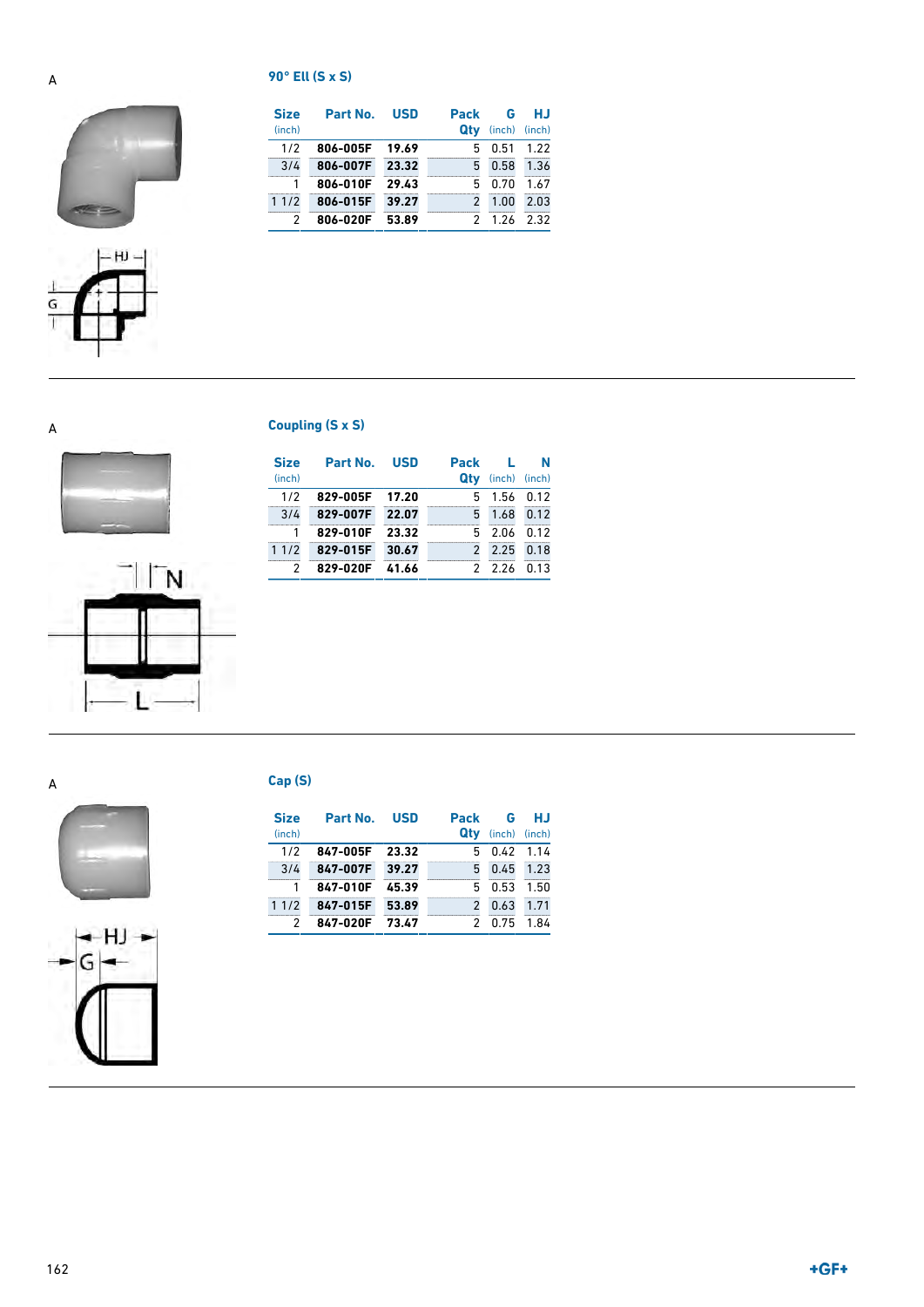### A **90° Ell (S x S)**





| <b>Size</b> | Part No. | <b>USD</b> | Pack          | G      | НJ     |
|-------------|----------|------------|---------------|--------|--------|
| (inch)      |          |            | Qtv           | (inch) | (inch) |
| 1/2         | 806-005F | 19.69      | 5             | 0.51   | 1.22   |
| 3/4         | 806-007F | 23.32      | 5             | 0.58   | 1.36   |
|             | 806-010F | 29.43      | 5             | 0.70   | 1.67   |
| 11/2        | 806-015F | 39.27      | $\mathcal{P}$ | 1.00   | 2.03   |
| 2           | 806-020F | 53.89      |               | 1 26   | 232    |

A **Coupling (S x S)**





| <b>Size</b> | Part No. | USD   | <b>Pack</b>   |               | N    |
|-------------|----------|-------|---------------|---------------|------|
| (inch)      |          |       | Qtv           | (inch) (inch) |      |
| 1/2         | 829-005F | 17.20 | 5             | 1.56 0.12     |      |
| 3/4         | 829-007F | 22.07 | 5             | 1.68          | 0.12 |
|             | 829-010F | 23.32 | 5             | 2.06          | 0.12 |
| 11/2        | 829-015F | 30.67 | $\mathcal{P}$ | 2.25          | 0.18 |
|             | 829-020F | 41.66 |               | 2 2 2 6       | በ 13 |





### A **Cap (S)**

| <b>Size</b><br>(inch) | Part No. | <b>USD</b> | Pack<br>Qtv   | G<br>(inch) (inch) | HJ   |
|-----------------------|----------|------------|---------------|--------------------|------|
| 1/2                   | 847-005F | 23.32      | 5             | 0.42               | 1.14 |
| 3/4                   | 847-007F | 39.27      | 5             | 0.45               | 1.23 |
|                       | 847-010F | 45.39      | 5             | 0.53               | 1.50 |
| 11/2                  | 847-015F | 53.89      | $\mathcal{P}$ | 0.63               | 1.71 |
| 2                     | 847-020F | 73.47      |               | 0.75               | 1.84 |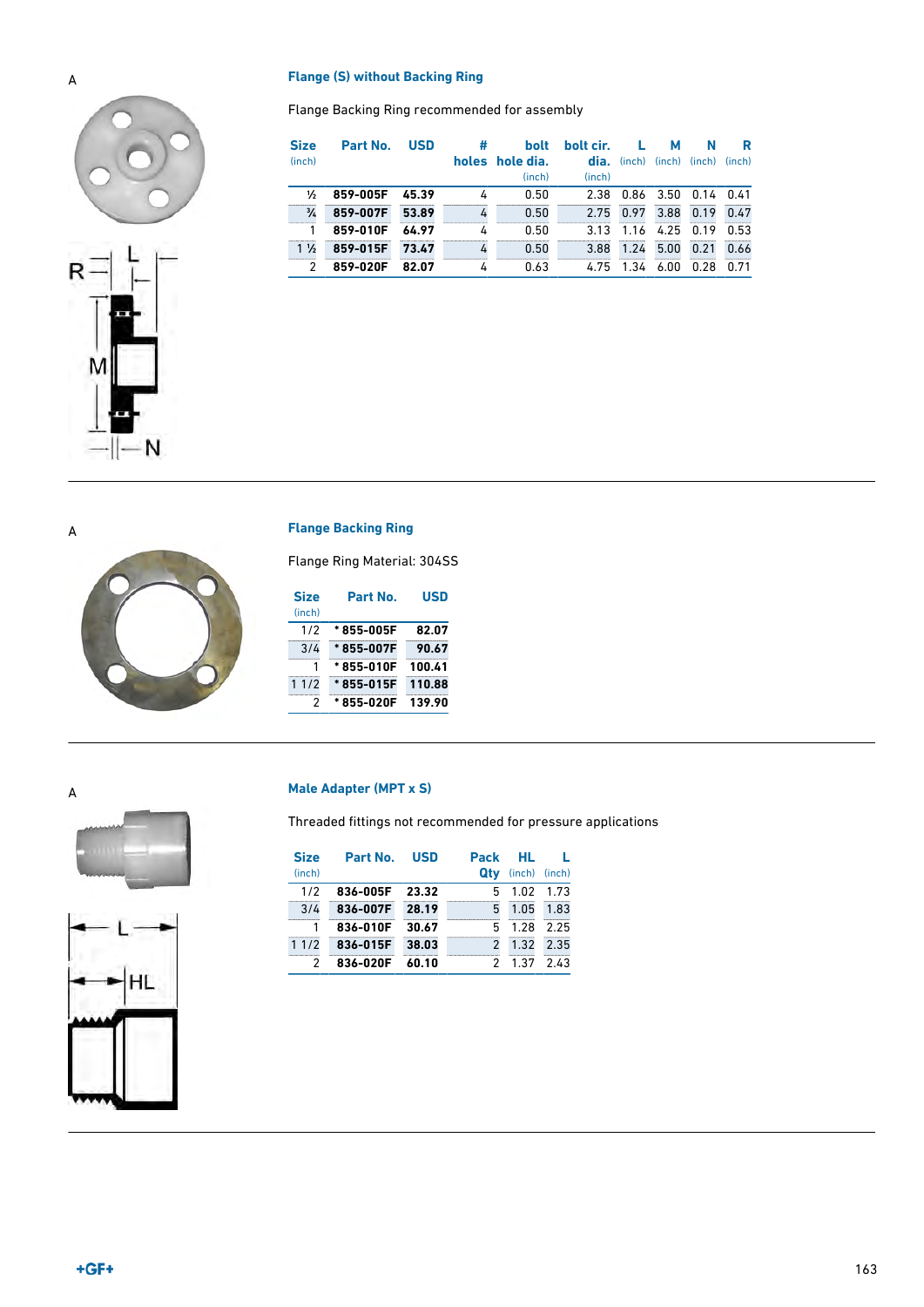### A **Flange (S) without Backing Ring**

Flange Backing Ring recommended for assembly

| <b>Size</b><br>(inch) | Part No. | <b>USD</b> | #<br>holes | <b>bolt</b><br>hole dia.<br>(inch) | bolt cir.<br>dia.<br>(inch) |      | м<br>(inch) (inch) (inch) | N    | R<br>(inch) |
|-----------------------|----------|------------|------------|------------------------------------|-----------------------------|------|---------------------------|------|-------------|
| ⅓                     | 859-005F | 45.39      | 4          | 0.50                               | 2.38                        | 0.86 | 3.50                      | 0.14 | 0.41        |
| $\frac{3}{4}$         | 859-007F | 53.89      | 4          | 0.50                               | 2.75                        | 0.97 | 3.88                      | 0.19 | 0.47        |
|                       | 859-010F | 64.97      | 4          | 0.50                               | 3.13                        | 1.16 | 4.25                      | 0.19 | 0.53        |
| $1\frac{1}{2}$        | 859-015F | 73.47      | 4          | 0.50                               | 3.88                        | 1.24 | 5.00                      | 0.21 | 0.66        |
| 2                     | 859-020F | 82.07      | 4          | 0.63                               | 4.75                        | 1.34 | 6.00                      | 0.28 | 0.71        |





### A **Flange Backing Ring**

Flange Ring Material: 304SS

| <b>Size</b> | Part No.   | USD    |
|-------------|------------|--------|
| (inch)      |            |        |
| 1/2         | * 855-005F | 82.07  |
| 3/4         | *855-007F  | 90.67  |
| 1           | *855-010F  | 100.41 |
| 11/2        | *855-015F  | 110.88 |
| 2           | *855-020F  | 139.90 |





### A **Male Adapter (MPT x S)**

Threaded fittings not recommended for pressure applications

| <b>Size</b> | Part No. USD |       | <b>Pack</b> | HL            | т.        |
|-------------|--------------|-------|-------------|---------------|-----------|
| (inch)      |              |       | Qtv         | (inch) (inch) |           |
| 1/2         | 836-005F     | 23.32 | 5.          | 1.02 1.73     |           |
| 3/4         | 836-007F     | 28.19 | 5           |               | 1.05 1.83 |
|             | 836-010F     | 30.67 | 5.          | 1.28          | 2.25      |
| 11/2        | 836-015F     | 38.03 |             | 1.32          | 2.35      |
|             | 836-020F     | 60.10 |             | 1.37          | 2.43      |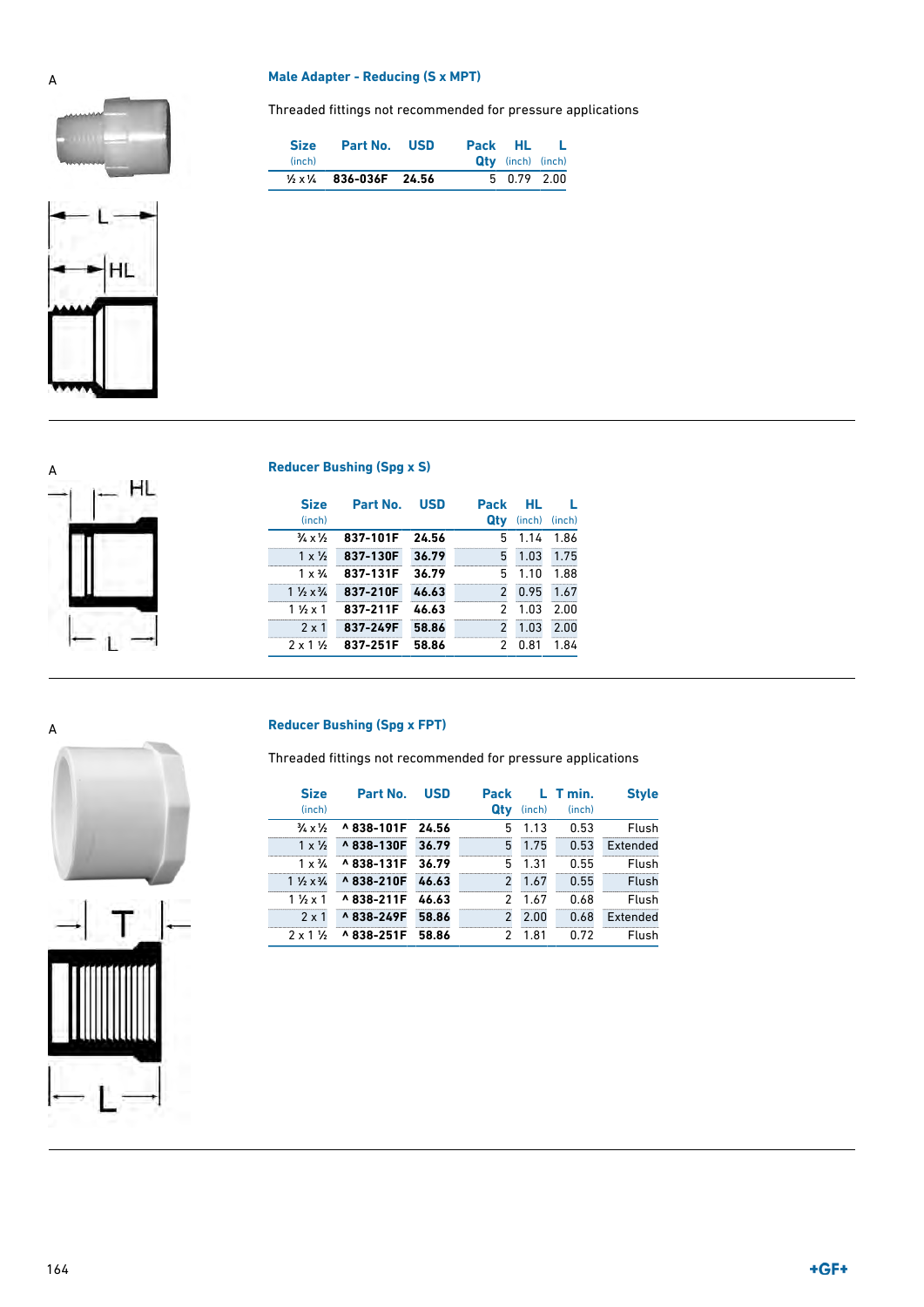### A **Male Adapter - Reducing (S x MPT)**

Threaded fittings not recommended for pressure applications

| <b>Size</b> | Part No. USD                                    | Pack HL L |                          |  |
|-------------|-------------------------------------------------|-----------|--------------------------|--|
| (inch)      |                                                 |           | <b>Qty</b> (inch) (inch) |  |
|             | $\frac{1}{2} \times \frac{1}{4}$ 836-036F 24.56 |           | $5\quad 0.79\quad 2.00$  |  |





| <b>Size</b>                       | Part No. | <b>USD</b> | <b>Pack</b>   | HL.    |        |
|-----------------------------------|----------|------------|---------------|--------|--------|
| (inch)                            |          |            | Qtv           | (inch) | (inch) |
| $\frac{3}{4} \times \frac{1}{2}$  | 837-101F | 24.56      | 5             | 1.14   | 1.86   |
| $1 \times \frac{1}{2}$            | 837-130F | 36.79      | 5             | 1.03   | 1.75   |
| $1 \times \frac{3}{4}$            | 837-131F | 36.79      | 5             | 1.10   | 1.88   |
| $1\frac{1}{2} \times \frac{3}{4}$ | 837-210F | 46.63      | $\mathcal{P}$ | 0.95   | 1.67   |
| 1 1/ <sub>2</sub> x 1             | 837-211F | 46.63      | 2             | 1.03   | 2.00   |
| $2 \times 1$                      | 837-249F | 58.86      | $\mathcal{P}$ | 1.03   | 2.00   |
| $2 \times 1$ $\frac{1}{2}$        | 837-251F | 58.86      | 2             | 0.81   | 1.84   |

Threaded fittings not recommended for pressure applications

| <b>Size</b><br>(inch)             | Part No.        | <b>USD</b> | <b>Pack</b><br>Qty | (inch) | $L$ T min.<br>(inch) | <b>Style</b> |
|-----------------------------------|-----------------|------------|--------------------|--------|----------------------|--------------|
| $\frac{3}{4} \times \frac{1}{2}$  | ^838-101F 24.56 |            | 5                  | 1.13   | 0.53                 | Flush        |
| $1 \times \frac{1}{2}$            | ^838-130F       | 36.79      | 5                  | 1.75   | 0.53                 | Extended     |
| $1 \times \frac{3}{4}$            | ^838-131F       | 36.79      | 5                  | 1.31   | 0.55                 | Flush        |
| $1\frac{1}{2} \times \frac{3}{4}$ | ^838-210F       | 46.63      | $\mathcal{P}$      | 1.67   | 0.55                 | Flush        |
| $11/2 \times 1$                   | ^838-211F       | 46.63      | 2                  | 1.67   | 0.68                 | Flush        |
| $2 \times 1$                      | ^838-249F       | 58.86      | $\mathcal{P}$      | 2.00   | 0.68                 | Extended     |
| $2 \times 1$ %                    | ^838-251F       | 58.86      | 2                  | 1.81   | 0.72                 | Flush        |

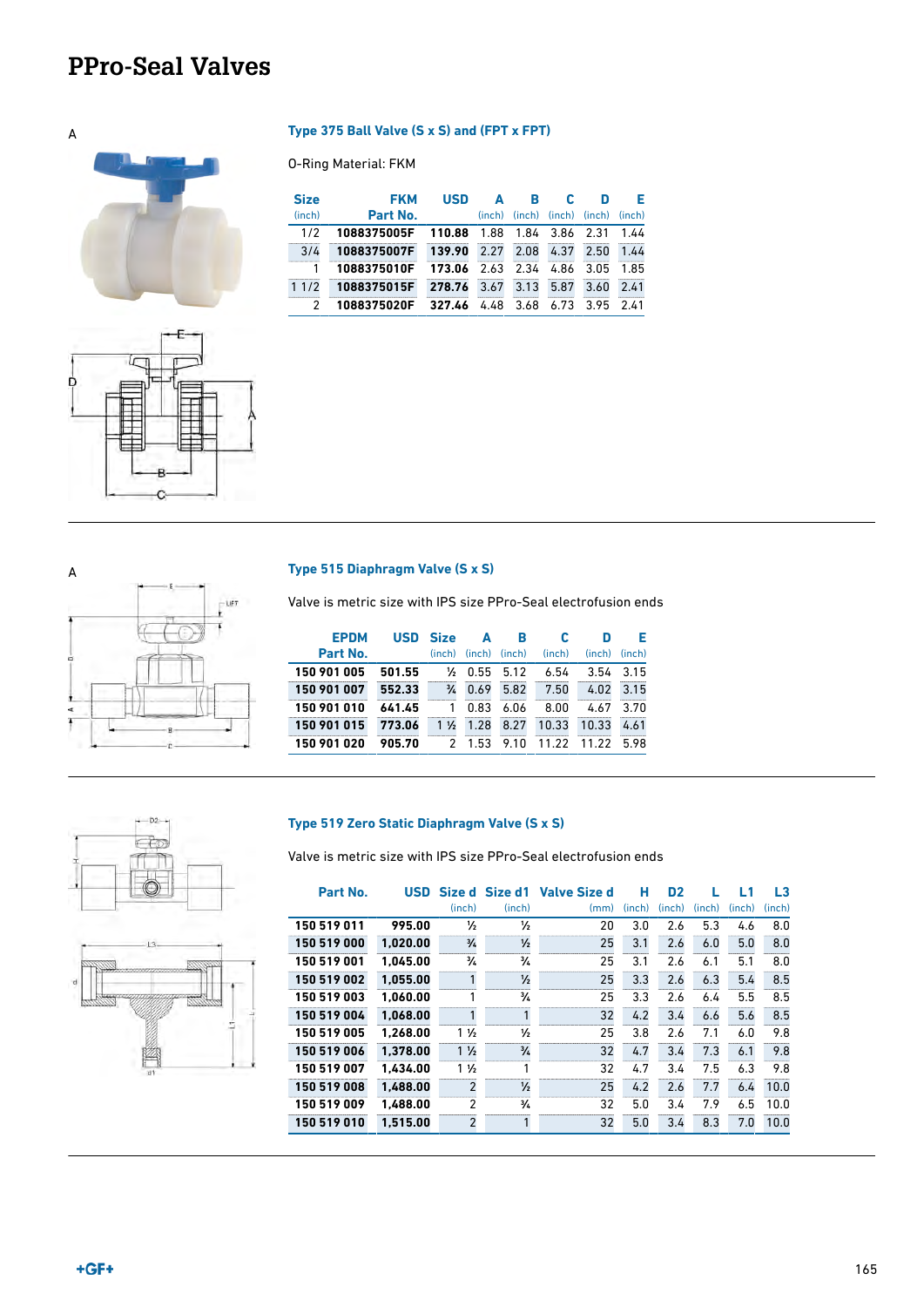### <span id="page-8-0"></span>**PPro-Seal Valves**

# A **Type 375 Ball Valve (S x S) and (FPT x FPT)**



# LET

### A **Type 515 Diaphragm Valve (S x S)**

O-Ring Material: FKM

**FKM Part No.** **USD A** (inch)

2 **1088375020F 327.46** 4.48 3.68 6.73 3.95 2.41

1/2 **1088375005F 110.88** 1.88 1.84 3.86 2.31 3/4 **1088375007F 139.90** 2.27 2.08 4.37 2.50 1.44 1 **1088375010F 173.06** 2.63 2.34 4.86 3.05 1.85 1 1/2 **1088375015F 278.76** 3.67 3.13 5.87 3.60 2.41

**B** (inch)

**C** (inch) (inch) **D**

**E**  $\frac{\text{(inch)}}{1.44}$ 

**Size** (inch)

Valve is metric size with IPS size PPro-Seal electrofusion ends

| <b>EPDM</b> | <b>USD</b> | <b>Size</b>    | Δ      | R      |        | D      | F.     |
|-------------|------------|----------------|--------|--------|--------|--------|--------|
| Part No.    |            | (inch)         | (inch) | (inch) | (inch) | (inch) | (inch) |
| 150 901 005 | 501.55     | ⅓              | 0.55   | 5.12   | 6.54   | 3.54   | 3.15   |
| 150 901 007 | 552.33     | $\frac{3}{4}$  | 0.69   | 5.82   | 7.50   | 4.02   | 3.15   |
| 150 901 010 | 641.45     |                | 0.83   | 6.06   | 8.00   | 4.67   | 3.70   |
| 150 901 015 | 773.06     | $1\frac{1}{2}$ | 1.28   | 8.27   | 10.33  | 10.33  | 4.61   |
| 150 901 020 | 905.70     | 2              | 1.53   | 9.10   | 11.22  | 11.22  | 598    |





### **Type 519 Zero Static Diaphragm Valve (S x S)**

Valve is metric size with IPS size PPro-Seal electrofusion ends

| Part No.    | <b>USD</b> | Size d         | Size d1       | <b>Valve Size d</b> | н      | D <sub>2</sub> |        | L1     | L3     |
|-------------|------------|----------------|---------------|---------------------|--------|----------------|--------|--------|--------|
|             |            | (inch)         | (inch)        | (mm)                | (inch) | (inch)         | (inch) | (inch) | (inch) |
| 150 519 011 | 995.00     | ⅓              | ⅓             | 20                  | 3.0    | 2.6            | 5.3    | 4.6    | 8.0    |
| 150 519 000 | 1.020.00   | $\frac{3}{4}$  | $\frac{1}{2}$ | 25                  | 3.1    | 2.6            | 6.0    | 5.0    | 8.0    |
| 150 519 001 | 1.045.00   | $\frac{3}{4}$  | $\frac{3}{4}$ | 25                  | 3.1    | 2.6            | 6.1    | 5.1    | 8.0    |
| 150 519 002 | 1.055.00   |                | $\frac{1}{2}$ | 25                  | 3.3    | 2.6            | 6.3    | 5.4    | 8.5    |
| 150 519 003 | 1.060.00   |                | $\frac{3}{4}$ | 25                  | 3.3    | 2.6            | 6.4    | 5.5    | 8.5    |
| 150 519 004 | 1.068.00   |                | 1             | 32                  | 4.2    | 3.4            | 6.6    | 5.6    | 8.5    |
| 150 519 005 | 1.268.00   | $1\frac{1}{2}$ | $\frac{1}{2}$ | 25                  | 3.8    | 2.6            | 7.1    | 6.0    | 9.8    |
| 150 519 006 | 1.378.00   | $1\frac{1}{2}$ | $\frac{3}{4}$ | 32                  | 4.7    | 3.4            | 7.3    | 6.1    | 9.8    |
| 150 519 007 | 1.434.00   | $1\frac{1}{2}$ | 1             | 32                  | 4.7    | 3.4            | 7.5    | 6.3    | 9.8    |
| 150 519 008 | 1.488.00   | $\mathfrak{p}$ | $\frac{1}{2}$ | 25                  | 4.2    | 2.6            | 7.7    | 6.4    | 10.0   |
| 150 519 009 | 1.488.00   | $\overline{2}$ | $\frac{3}{4}$ | 32                  | 5.0    | 3.4            | 7.9    | 6.5    | 10.0   |
| 150 519 010 | 1.515.00   | $\overline{2}$ |               | 32                  | 5.0    | 3.4            | 8.3    | 7.0    | 10.0   |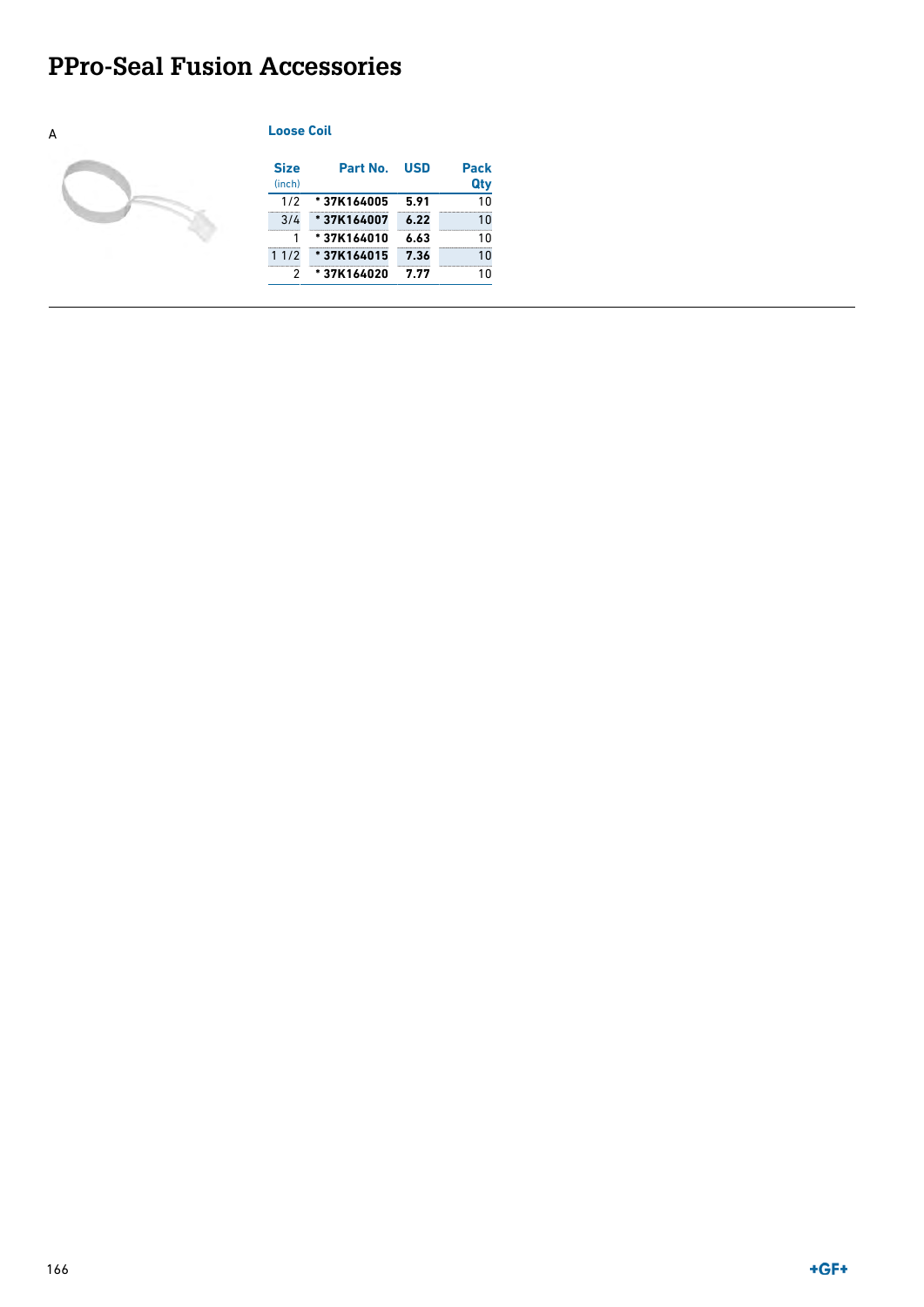### <span id="page-9-0"></span>**PPro-Seal Fusion Accessories**

### A **Loose Coil**



| <b>Size</b><br>(inch) | Part No.   | <b>USD</b> | <b>Pack</b><br>Qty |
|-----------------------|------------|------------|--------------------|
| 1/2                   | *37K164005 | 5.91       | 10                 |
| 3/4                   | *37K164007 | 6.22       | 10                 |
| 1                     | *37K164010 | 6.63       | 10                 |
| 11/2                  | *37K164015 | 7.36       | 10                 |
| 2                     | *37K164020 | 7.77       | 10                 |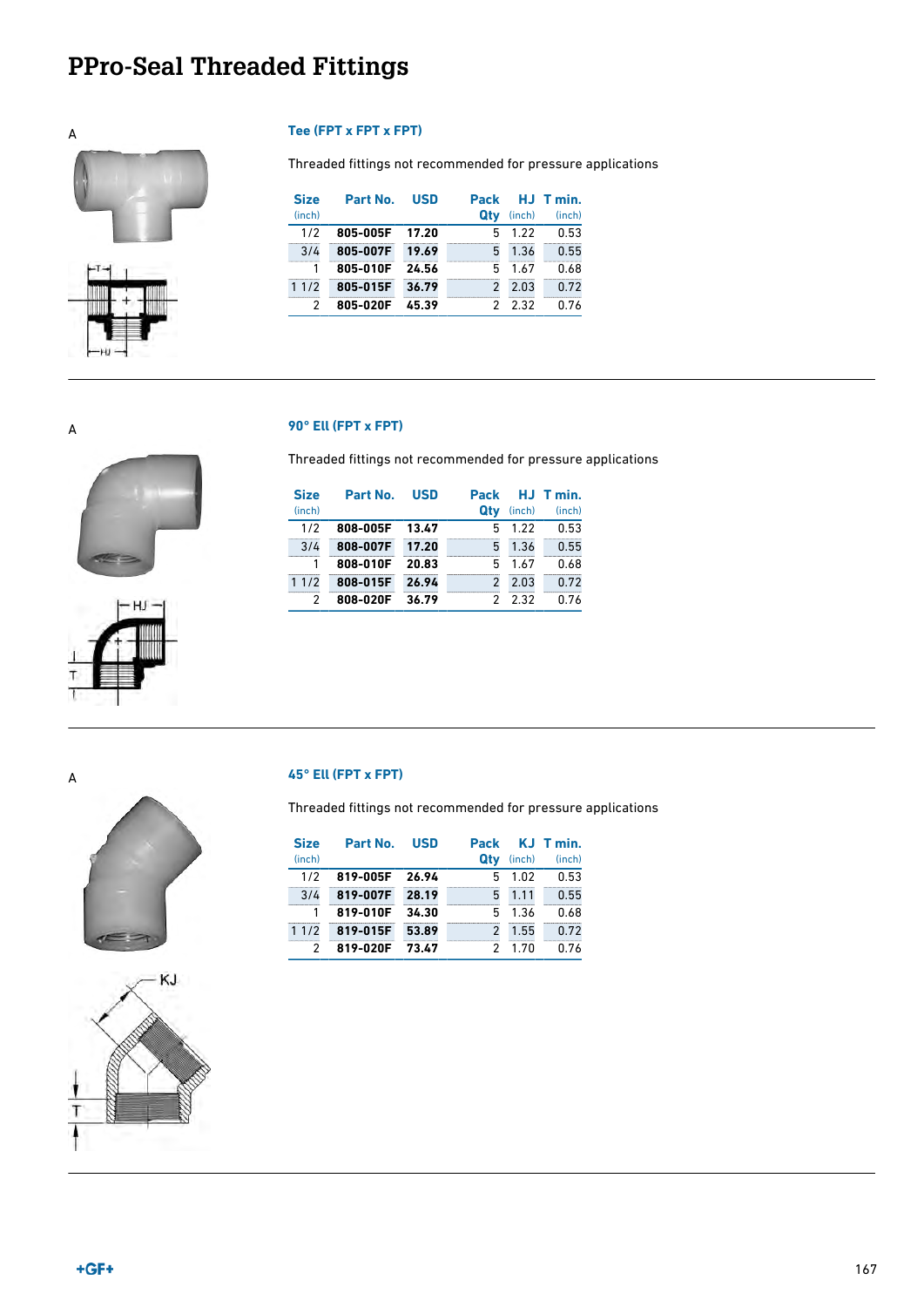# <span id="page-10-0"></span>**PPro-Seal Threaded Fittings**



Threaded fittings not recommended for pressure applications

| <b>Size</b> | Part No. | <b>USD</b> | <b>Pack</b> |        | HJ Tmin. |
|-------------|----------|------------|-------------|--------|----------|
| (inch)      |          |            | Qtv         | (inch) | (inch)   |
| 1/2         | 805-005F | 17.20      | 5           | 1.22   | 0.53     |
| 3/4         | 805-007F | 19.69      | 5           | 1.36   | 0.55     |
|             | 805-010F | 24.56      | 5           | 1.67   | 0.68     |
| 11/2        | 805-015F | 36.79      | 2           | 2.03   | 0.72     |
| 2           | 805-020F | 45.39      |             | 2 2.32 | 0.76     |

### A **90° Ell (FPT x FPT)**

Threaded fittings not recommended for pressure applications

| <b>Size</b> | Part No. | <b>USD</b> | Pack |        | HJ T min. |
|-------------|----------|------------|------|--------|-----------|
| (inch)      |          |            | Qtv  | (inch) | (inch)    |
| 1/2         | 808-005F | 13.47      | 5    | 1.22   | 0.53      |
| 3/4         | 808-007F | 17.20      | 5    | 1.36   | 0.55      |
| 1           | 808-010F | 20.83      | 5    | 1.67   | 0.68      |
| 11/2        | 808-015F | 26.94      | 2    | 2.03   | 0.72      |
|             | 808-020F | 36.79      |      | 232    | 0.76      |





### A **45° Ell (FPT x FPT)**

Threaded fittings not recommended for pressure applications

| <b>Size</b><br>(inch) | Part No. | <b>USD</b> | <b>Pack</b><br>Qtv | (inch) | KJ T min.<br>(inch) |
|-----------------------|----------|------------|--------------------|--------|---------------------|
| 1/2                   | 819-005F | 26.94      | 5                  | 1.02   | 0.53                |
| 3/4                   | 819-007F | 28.19      | 5                  | 1.11   | 0.55                |
| 1                     | 819-010F | 34.30      | 5                  | 1.36   | 0.68                |
| 11/2                  | 819-015F | 53.89      | $\mathcal{P}$      | 1.55   | 0.72                |
| 2                     | 819-020F | 73.47      |                    | 1 7N   | በ 76                |

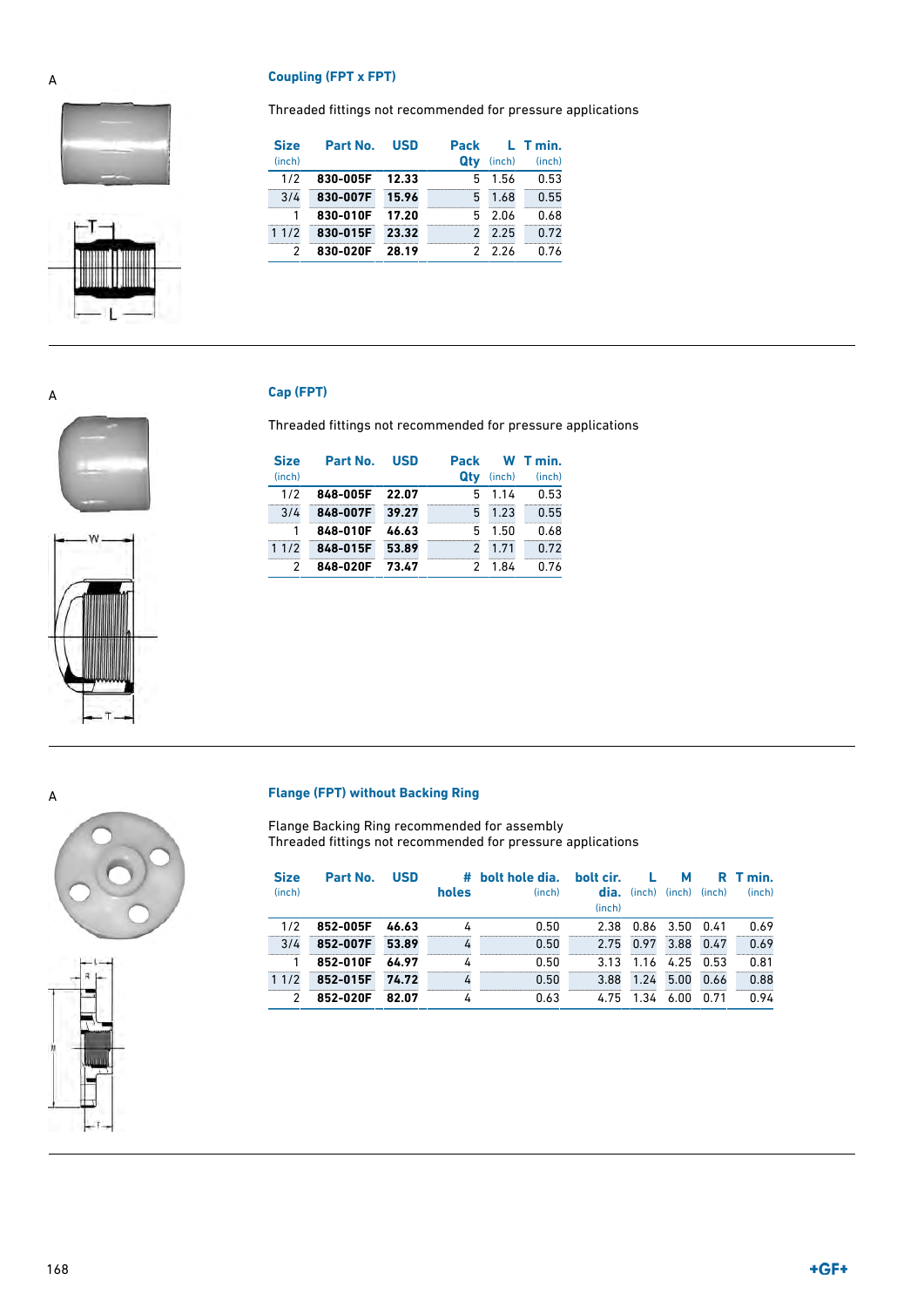### A **Coupling (FPT x FPT)**

Threaded fittings not recommended for pressure applications





| <b>Size</b> | Part No. | <b>USD</b> | Pack |        | L T min. |
|-------------|----------|------------|------|--------|----------|
| (inch)      |          |            | Qtv  | (inch) | (inch)   |
| 1/2         | 830-005F | 12.33      | 5    | 1.56   | 0.53     |
| 3/4         | 830-007F | 15.96      | 5    | 1.68   | 0.55     |
|             | 830-010F | 17.20      | 5    | 2.06   | 0.68     |
| 11/2        | 830-015F | 23.32      |      | 2.25   | 0.72     |
|             | 830-020F | 28.19      |      | 226    | በ 76     |

### A **Cap (FPT)**

Threaded fittings not recommended for pressure applications

| <b>Size</b><br>(inch) | Part No. | <b>USD</b> | Pack<br>Qtv   | (inch) | W T min.<br>(inch) |
|-----------------------|----------|------------|---------------|--------|--------------------|
| 1/2                   | 848-005F | 22.07      | 5             | 1.14   | 0.53               |
| 3/4                   | 848-007F | 39.27      | 5             | 1.23   | 0.55               |
|                       | 848-010F | 46.63      | 5             | 1.50   | 0.68               |
| 11/2                  | 848-015F | 53.89      | $\mathcal{P}$ | 1.71   | 0.72               |
|                       | 848-020F | 73.47      |               | 1 84   | በ 76               |



### A **Flange (FPT) without Backing Ring**

Flange Backing Ring recommended for assembly Threaded fittings not recommended for pressure applications

| <b>Size</b><br>(inch) | Part No. | <b>USD</b> | holes | # bolt hole dia.<br>(inch) | bolt cir.<br>dia.<br>(inch) | υ.<br>(inch) | м           | $(inch)$ $(inch)$ | R T min.<br>(inch) |
|-----------------------|----------|------------|-------|----------------------------|-----------------------------|--------------|-------------|-------------------|--------------------|
| 1/2                   | 852-005F | 46.63      |       | 0.50                       | 2.38                        |              | $0.86$ 3.50 | 0.41              | 0.69               |
| 3/4                   | 852-007F | 53.89      |       | 0.50                       | 2.75                        | 0.97         | 3.88        | 0.47              | 0.69               |
|                       | 852-010F | 64.97      |       | 0.50                       | 3.13                        | 1.16         | 4.25        | 0.53              | 0.81               |
| 11/2                  | 852-015F | 74.72      |       | 0.50                       | 3.88                        | 1.24         | 5.00        | 0.66              | 0.88               |
| 2                     | 852-020F | 82.07      |       | 0.63                       | 4.75                        | 1.34         | 6.00        | 0.71              | 0.94               |